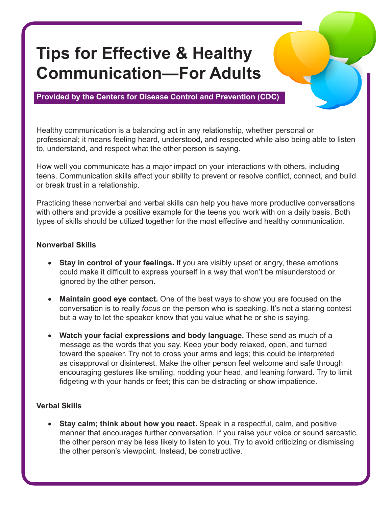## **Tips for Effective & Healthy Communication—For Adults**

**Provided by the Centers for Disease Control and Prevention (CDC)**

Healthy communication is a balancing act in any relationship, whether personal or professional; it means feeling heard, understood, and respected while also being able to listen to, understand, and respect what the other person is saying.

How well you communicate has a major impact on your interactions with others, including teens. Communication skills affect your ability to prevent or resolve conflict, connect, and build or break trust in a relationship.

Practicing these nonverbal and verbal skills can help you have more productive conversations with others and provide a positive example for the teens you work with on a daily basis. Both types of skills should be utilized together for the most effective and healthy communication.

## **Nonverbal Skills**

- **Stay in control of your feelings.** If you are visibly upset or angry, these emotions could make it difficult to express yourself in a way that won't be misunderstood or ignored by the other person.
- **Maintain good eye contact.** One of the best ways to show you are focused on the conversation is to really *focus* on the person who is speaking. It's not a staring contest but a way to let the speaker know that you value what he or she is saying.
- **Watch your facial expressions and body language.** These send as much of a message as the words that you say. Keep your body relaxed, open, and turned toward the speaker. Try not to cross your arms and legs; this could be interpreted as disapproval or disinterest. Make the other person feel welcome and safe through encouraging gestures like smiling, nodding your head, and leaning forward. Try to limit fidgeting with your hands or feet; this can be distracting or show impatience.

## **Verbal Skills**

**Stay calm; think about how you react.** Speak in a respectful, calm, and positive manner that encourages further conversation. If you raise your voice or sound sarcastic, the other person may be less likely to listen to you. Try to avoid criticizing or dismissing the other person's viewpoint. Instead, be constructive.